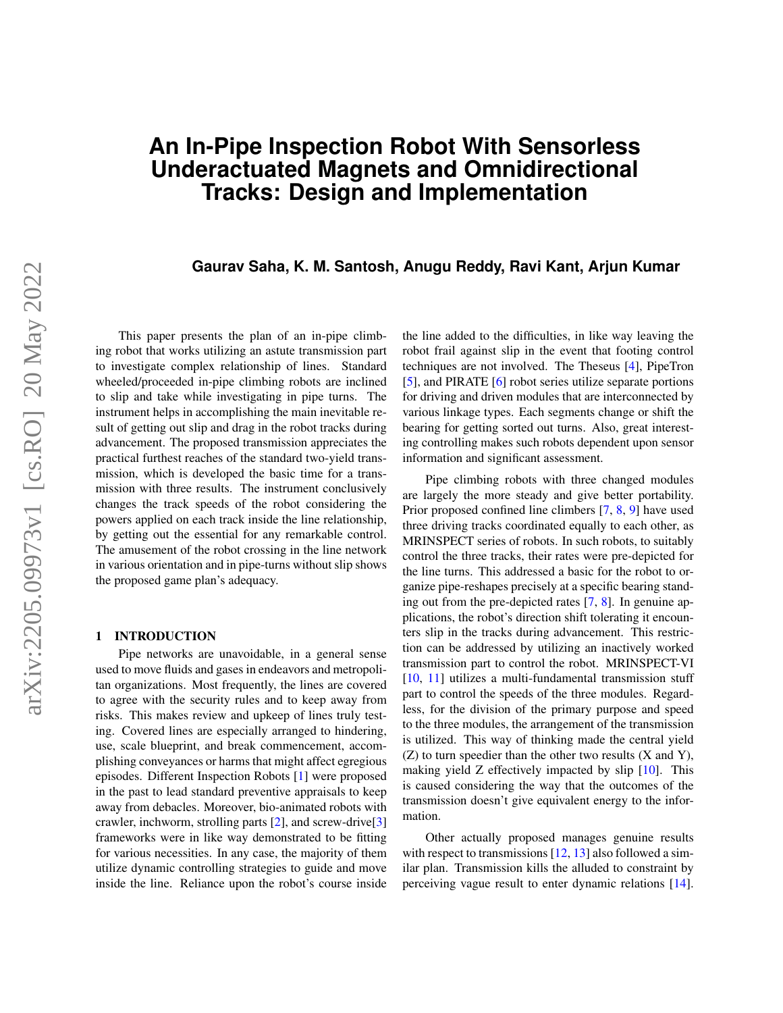# **An In-Pipe Inspection Robot With Sensorless Underactuated Magnets and Omnidirectional Tracks: Design and Implementation**

## **Gaurav Saha, K. M. Santosh, Anugu Reddy, Ravi Kant, Arjun Kumar**

This paper presents the plan of an in-pipe climbing robot that works utilizing an astute transmission part to investigate complex relationship of lines. Standard wheeled/proceeded in-pipe climbing robots are inclined to slip and take while investigating in pipe turns. The instrument helps in accomplishing the main inevitable result of getting out slip and drag in the robot tracks during advancement. The proposed transmission appreciates the practical furthest reaches of the standard two-yield transmission, which is developed the basic time for a transmission with three results. The instrument conclusively changes the track speeds of the robot considering the powers applied on each track inside the line relationship, by getting out the essential for any remarkable control. The amusement of the robot crossing in the line network in various orientation and in pipe-turns without slip shows the proposed game plan's adequacy.

## 1 INTRODUCTION

Pipe networks are unavoidable, in a general sense used to move fluids and gases in endeavors and metropolitan organizations. Most frequently, the lines are covered to agree with the security rules and to keep away from risks. This makes review and upkeep of lines truly testing. Covered lines are especially arranged to hindering, use, scale blueprint, and break commencement, accomplishing conveyances or harms that might affect egregious episodes. Different Inspection Robots [\[1\]](#page-4-0) were proposed in the past to lead standard preventive appraisals to keep away from debacles. Moreover, bio-animated robots with crawler, inchworm, strolling parts [\[2\]](#page-4-1), and screw-drive[\[3\]](#page-4-2) frameworks were in like way demonstrated to be fitting for various necessities. In any case, the majority of them utilize dynamic controlling strategies to guide and move inside the line. Reliance upon the robot's course inside the line added to the difficulties, in like way leaving the robot frail against slip in the event that footing control techniques are not involved. The Theseus [\[4\]](#page-4-3), PipeTron [\[5\]](#page-4-4), and PIRATE [\[6\]](#page-4-5) robot series utilize separate portions for driving and driven modules that are interconnected by various linkage types. Each segments change or shift the bearing for getting sorted out turns. Also, great interesting controlling makes such robots dependent upon sensor information and significant assessment.

Pipe climbing robots with three changed modules are largely the more steady and give better portability. Prior proposed confined line climbers [\[7,](#page-4-6) [8,](#page-4-7) [9\]](#page-4-8) have used three driving tracks coordinated equally to each other, as MRINSPECT series of robots. In such robots, to suitably control the three tracks, their rates were pre-depicted for the line turns. This addressed a basic for the robot to organize pipe-reshapes precisely at a specific bearing standing out from the pre-depicted rates [\[7,](#page-4-6) [8\]](#page-4-7). In genuine applications, the robot's direction shift tolerating it encounters slip in the tracks during advancement. This restriction can be addressed by utilizing an inactively worked transmission part to control the robot. MRINSPECT-VI [\[10,](#page-4-9) [11\]](#page-5-0) utilizes a multi-fundamental transmission stuff part to control the speeds of the three modules. Regardless, for the division of the primary purpose and speed to the three modules, the arrangement of the transmission is utilized. This way of thinking made the central yield (Z) to turn speedier than the other two results (X and Y), making yield Z effectively impacted by slip [\[10\]](#page-4-9). This is caused considering the way that the outcomes of the transmission doesn't give equivalent energy to the information.

Other actually proposed manages genuine results with respect to transmissions [\[12,](#page-5-1) [13\]](#page-5-2) also followed a similar plan. Transmission kills the alluded to constraint by perceiving vague result to enter dynamic relations [\[14\]](#page-5-3).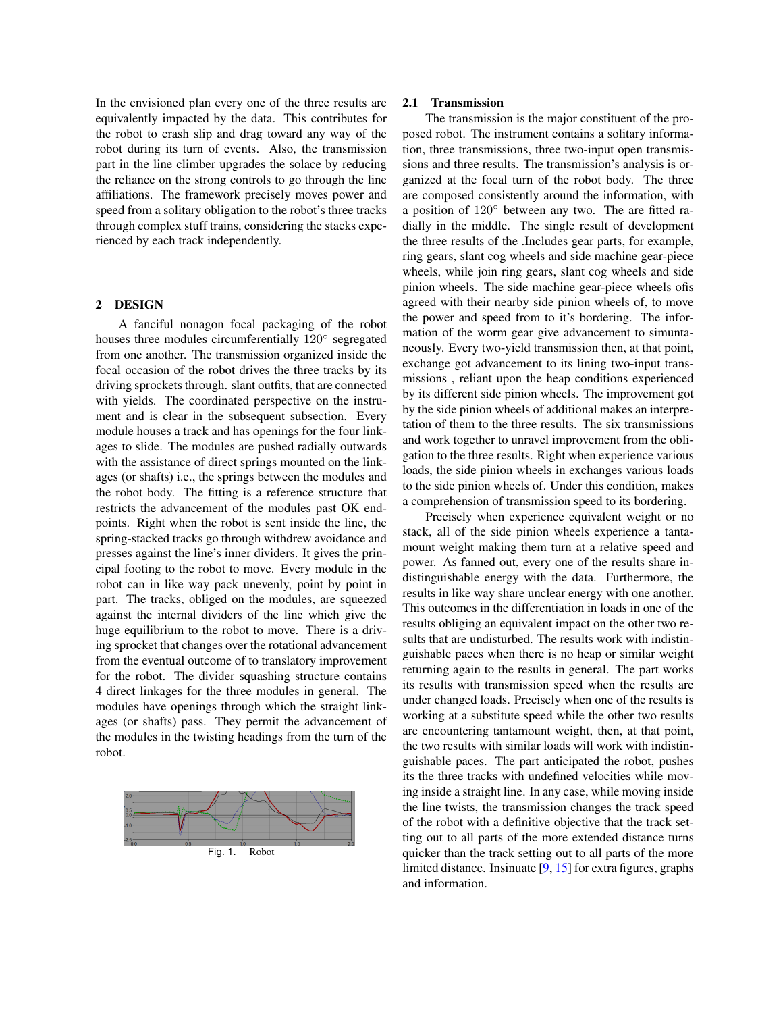In the envisioned plan every one of the three results are equivalently impacted by the data. This contributes for the robot to crash slip and drag toward any way of the robot during its turn of events. Also, the transmission part in the line climber upgrades the solace by reducing the reliance on the strong controls to go through the line affiliations. The framework precisely moves power and speed from a solitary obligation to the robot's three tracks through complex stuff trains, considering the stacks experienced by each track independently.

## 2 DESIGN

A fanciful nonagon focal packaging of the robot houses three modules circumferentially 120<sup>°</sup> segregated from one another. The transmission organized inside the focal occasion of the robot drives the three tracks by its driving sprockets through. slant outfits, that are connected with yields. The coordinated perspective on the instrument and is clear in the subsequent subsection. Every module houses a track and has openings for the four linkages to slide. The modules are pushed radially outwards with the assistance of direct springs mounted on the linkages (or shafts) i.e., the springs between the modules and the robot body. The fitting is a reference structure that restricts the advancement of the modules past OK endpoints. Right when the robot is sent inside the line, the spring-stacked tracks go through withdrew avoidance and presses against the line's inner dividers. It gives the principal footing to the robot to move. Every module in the robot can in like way pack unevenly, point by point in part. The tracks, obliged on the modules, are squeezed against the internal dividers of the line which give the huge equilibrium to the robot to move. There is a driving sprocket that changes over the rotational advancement from the eventual outcome of to translatory improvement for the robot. The divider squashing structure contains 4 direct linkages for the three modules in general. The modules have openings through which the straight linkages (or shafts) pass. They permit the advancement of the modules in the twisting headings from the turn of the robot.



#### 2.1 Transmission

The transmission is the major constituent of the proposed robot. The instrument contains a solitary information, three transmissions, three two-input open transmissions and three results. The transmission's analysis is organized at the focal turn of the robot body. The three are composed consistently around the information, with a position of 120◦ between any two. The are fitted radially in the middle. The single result of development the three results of the .Includes gear parts, for example, ring gears, slant cog wheels and side machine gear-piece wheels, while join ring gears, slant cog wheels and side pinion wheels. The side machine gear-piece wheels ofis agreed with their nearby side pinion wheels of, to move the power and speed from to it's bordering. The information of the worm gear give advancement to simuntaneously. Every two-yield transmission then, at that point, exchange got advancement to its lining two-input transmissions , reliant upon the heap conditions experienced by its different side pinion wheels. The improvement got by the side pinion wheels of additional makes an interpretation of them to the three results. The six transmissions and work together to unravel improvement from the obligation to the three results. Right when experience various loads, the side pinion wheels in exchanges various loads to the side pinion wheels of. Under this condition, makes a comprehension of transmission speed to its bordering.

Precisely when experience equivalent weight or no stack, all of the side pinion wheels experience a tantamount weight making them turn at a relative speed and power. As fanned out, every one of the results share indistinguishable energy with the data. Furthermore, the results in like way share unclear energy with one another. This outcomes in the differentiation in loads in one of the results obliging an equivalent impact on the other two results that are undisturbed. The results work with indistinguishable paces when there is no heap or similar weight returning again to the results in general. The part works its results with transmission speed when the results are under changed loads. Precisely when one of the results is working at a substitute speed while the other two results are encountering tantamount weight, then, at that point, the two results with similar loads will work with indistinguishable paces. The part anticipated the robot, pushes its the three tracks with undefined velocities while moving inside a straight line. In any case, while moving inside the line twists, the transmission changes the track speed of the robot with a definitive objective that the track setting out to all parts of the more extended distance turns quicker than the track setting out to all parts of the more limited distance. Insinuate [\[9,](#page-4-8) [15\]](#page-5-4) for extra figures, graphs and information.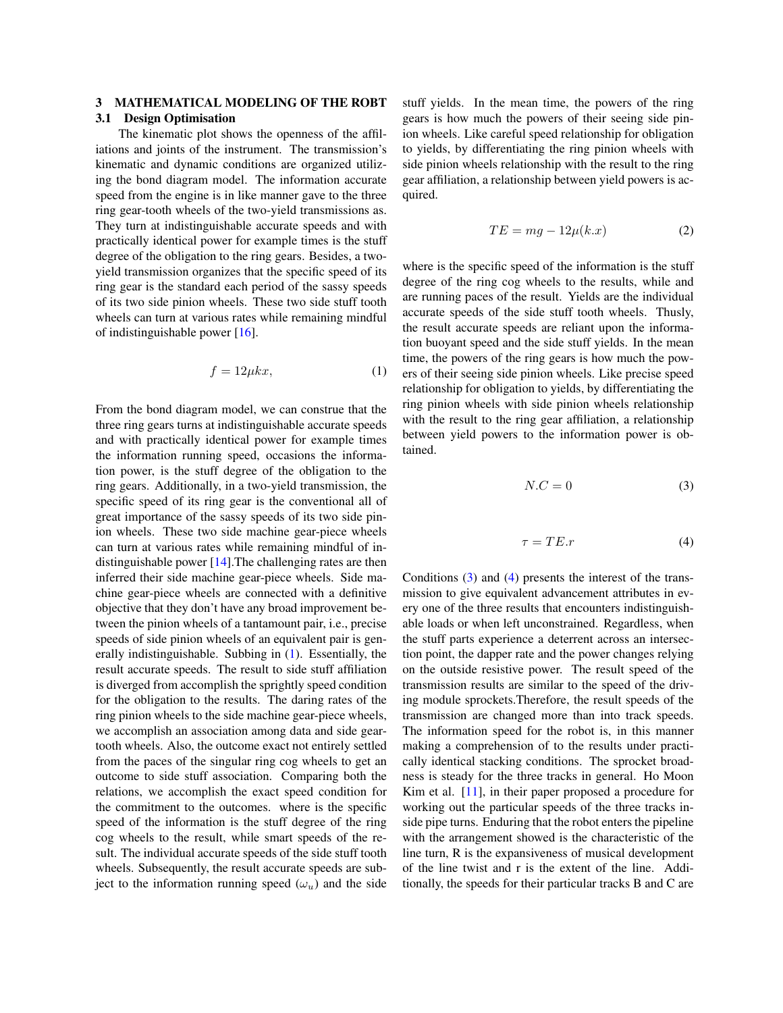## 3 MATHEMATICAL MODELING OF THE ROBT 3.1 Design Optimisation

The kinematic plot shows the openness of the affiliations and joints of the instrument. The transmission's kinematic and dynamic conditions are organized utilizing the bond diagram model. The information accurate speed from the engine is in like manner gave to the three ring gear-tooth wheels of the two-yield transmissions as. They turn at indistinguishable accurate speeds and with practically identical power for example times is the stuff degree of the obligation to the ring gears. Besides, a twoyield transmission organizes that the specific speed of its ring gear is the standard each period of the sassy speeds of its two side pinion wheels. These two side stuff tooth wheels can turn at various rates while remaining mindful of indistinguishable power [\[16\]](#page-5-5).

<span id="page-2-0"></span>
$$
f = 12\mu kx,\tag{1}
$$

From the bond diagram model, we can construe that the three ring gears turns at indistinguishable accurate speeds and with practically identical power for example times the information running speed, occasions the information power, is the stuff degree of the obligation to the ring gears. Additionally, in a two-yield transmission, the specific speed of its ring gear is the conventional all of great importance of the sassy speeds of its two side pinion wheels. These two side machine gear-piece wheels can turn at various rates while remaining mindful of indistinguishable power [\[14\]](#page-5-3).The challenging rates are then inferred their side machine gear-piece wheels. Side machine gear-piece wheels are connected with a definitive objective that they don't have any broad improvement between the pinion wheels of a tantamount pair, i.e., precise speeds of side pinion wheels of an equivalent pair is generally indistinguishable. Subbing in [\(1\)](#page-2-0). Essentially, the result accurate speeds. The result to side stuff affiliation is diverged from accomplish the sprightly speed condition for the obligation to the results. The daring rates of the ring pinion wheels to the side machine gear-piece wheels, we accomplish an association among data and side geartooth wheels. Also, the outcome exact not entirely settled from the paces of the singular ring cog wheels to get an outcome to side stuff association. Comparing both the relations, we accomplish the exact speed condition for the commitment to the outcomes. where is the specific speed of the information is the stuff degree of the ring cog wheels to the result, while smart speeds of the result. The individual accurate speeds of the side stuff tooth wheels. Subsequently, the result accurate speeds are subject to the information running speed  $(\omega_u)$  and the side stuff yields. In the mean time, the powers of the ring gears is how much the powers of their seeing side pinion wheels. Like careful speed relationship for obligation to yields, by differentiating the ring pinion wheels with side pinion wheels relationship with the result to the ring gear affiliation, a relationship between yield powers is acquired.

$$
TE = mg - 12\mu(k.x)
$$
 (2)

where is the specific speed of the information is the stuff degree of the ring cog wheels to the results, while and are running paces of the result. Yields are the individual accurate speeds of the side stuff tooth wheels. Thusly, the result accurate speeds are reliant upon the information buoyant speed and the side stuff yields. In the mean time, the powers of the ring gears is how much the powers of their seeing side pinion wheels. Like precise speed relationship for obligation to yields, by differentiating the ring pinion wheels with side pinion wheels relationship with the result to the ring gear affiliation, a relationship between yield powers to the information power is obtained.

<span id="page-2-1"></span>
$$
N.C = 0 \tag{3}
$$

<span id="page-2-2"></span>
$$
\tau = TE.r \tag{4}
$$

Conditions [\(3\)](#page-2-1) and [\(4\)](#page-2-2) presents the interest of the transmission to give equivalent advancement attributes in every one of the three results that encounters indistinguishable loads or when left unconstrained. Regardless, when the stuff parts experience a deterrent across an intersection point, the dapper rate and the power changes relying on the outside resistive power. The result speed of the transmission results are similar to the speed of the driving module sprockets.Therefore, the result speeds of the transmission are changed more than into track speeds. The information speed for the robot is, in this manner making a comprehension of to the results under practically identical stacking conditions. The sprocket broadness is steady for the three tracks in general. Ho Moon Kim et al. [\[11\]](#page-5-0), in their paper proposed a procedure for working out the particular speeds of the three tracks inside pipe turns. Enduring that the robot enters the pipeline with the arrangement showed is the characteristic of the line turn, R is the expansiveness of musical development of the line twist and r is the extent of the line. Additionally, the speeds for their particular tracks B and C are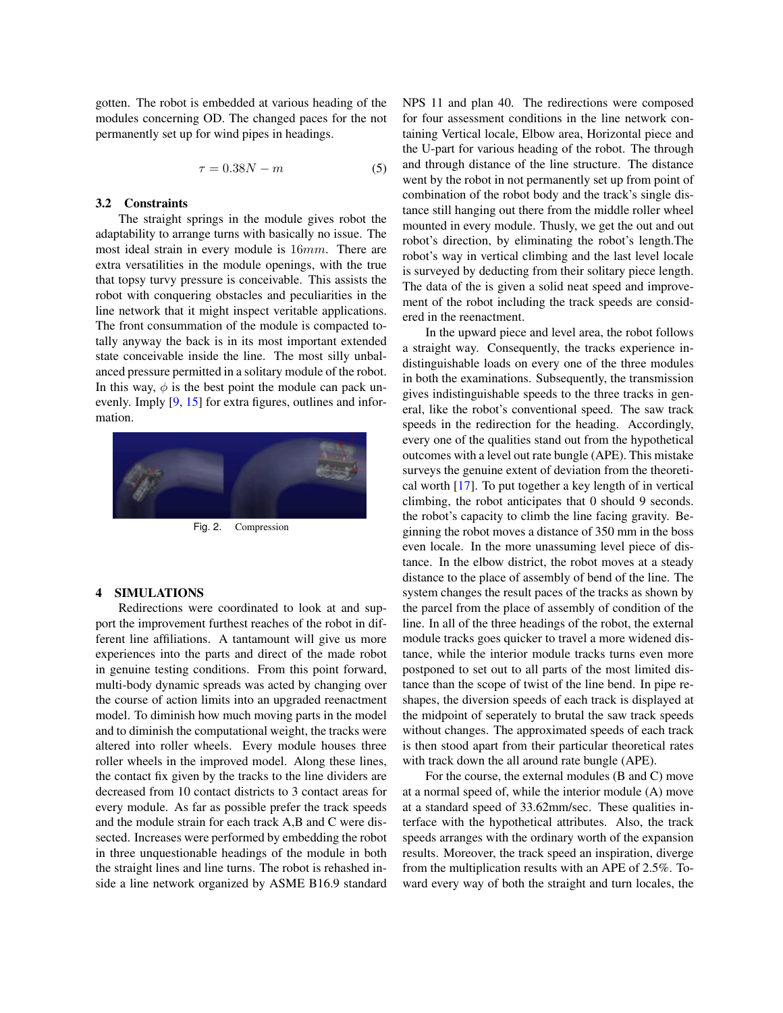gotten. The robot is embedded at various heading of the modules concerning OD. The changed paces for the not permanently set up for wind pipes in headings.

$$
\tau = 0.38N - m \tag{5}
$$

## 3.2 Constraints

The straight springs in the module gives robot the adaptability to arrange turns with basically no issue. The most ideal strain in every module is 16mm. There are extra versatilities in the module openings, with the true that topsy turvy pressure is conceivable. This assists the robot with conquering obstacles and peculiarities in the line network that it might inspect veritable applications. The front consummation of the module is compacted totally anyway the back is in its most important extended state conceivable inside the line. The most silly unbalanced pressure permitted in a solitary module of the robot. In this way,  $\phi$  is the best point the module can pack unevenly. Imply [\[9,](#page-4-8) [15\]](#page-5-4) for extra figures, outlines and information.



#### 4 SIMULATIONS

Redirections were coordinated to look at and support the improvement furthest reaches of the robot in different line affiliations. A tantamount will give us more experiences into the parts and direct of the made robot in genuine testing conditions. From this point forward, multi-body dynamic spreads was acted by changing over the course of action limits into an upgraded reenactment model. To diminish how much moving parts in the model and to diminish the computational weight, the tracks were altered into roller wheels. Every module houses three roller wheels in the improved model. Along these lines, the contact fix given by the tracks to the line dividers are decreased from 10 contact districts to 3 contact areas for every module. As far as possible prefer the track speeds and the module strain for each track A,B and C were dissected. Increases were performed by embedding the robot in three unquestionable headings of the module in both the straight lines and line turns. The robot is rehashed inside a line network organized by ASME B16.9 standard NPS 11 and plan 40. The redirections were composed for four assessment conditions in the line network containing Vertical locale, Elbow area, Horizontal piece and the U-part for various heading of the robot. The through and through distance of the line structure. The distance went by the robot in not permanently set up from point of combination of the robot body and the track's single distance still hanging out there from the middle roller wheel mounted in every module. Thusly, we get the out and out robot's direction, by eliminating the robot's length.The robot's way in vertical climbing and the last level locale is surveyed by deducting from their solitary piece length. The data of the is given a solid neat speed and improvement of the robot including the track speeds are considered in the reenactment.

In the upward piece and level area, the robot follows a straight way. Consequently, the tracks experience indistinguishable loads on every one of the three modules in both the examinations. Subsequently, the transmission gives indistinguishable speeds to the three tracks in general, like the robot's conventional speed. The saw track speeds in the redirection for the heading. Accordingly, every one of the qualities stand out from the hypothetical outcomes with a level out rate bungle (APE). This mistake surveys the genuine extent of deviation from the theoretical worth [\[17\]](#page-5-6). To put together a key length of in vertical climbing, the robot anticipates that 0 should 9 seconds. the robot's capacity to climb the line facing gravity. Beginning the robot moves a distance of 350 mm in the boss even locale. In the more unassuming level piece of distance. In the elbow district, the robot moves at a steady distance to the place of assembly of bend of the line. The system changes the result paces of the tracks as shown by the parcel from the place of assembly of condition of the line. In all of the three headings of the robot, the external module tracks goes quicker to travel a more widened distance, while the interior module tracks turns even more postponed to set out to all parts of the most limited distance than the scope of twist of the line bend. In pipe reshapes, the diversion speeds of each track is displayed at the midpoint of seperately to brutal the saw track speeds without changes. The approximated speeds of each track is then stood apart from their particular theoretical rates with track down the all around rate bungle (APE).

For the course, the external modules (B and C) move at a normal speed of, while the interior module (A) move at a standard speed of 33.62mm/sec. These qualities interface with the hypothetical attributes. Also, the track speeds arranges with the ordinary worth of the expansion results. Moreover, the track speed an inspiration, diverge from the multiplication results with an APE of 2.5%. Toward every way of both the straight and turn locales, the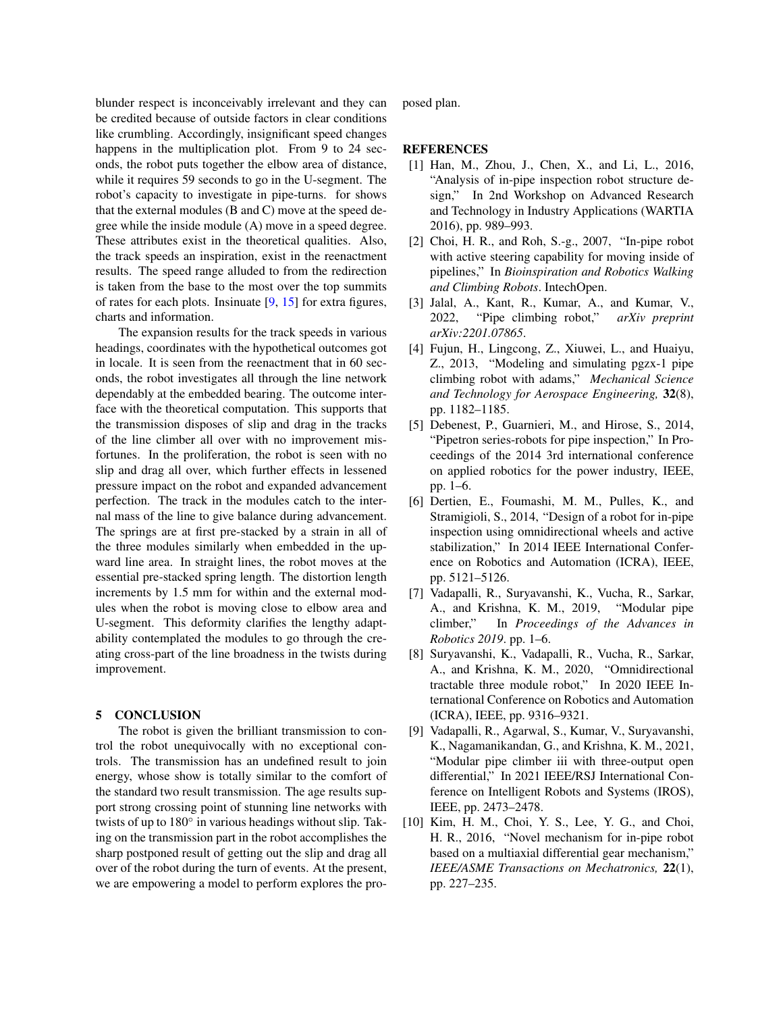blunder respect is inconceivably irrelevant and they can be credited because of outside factors in clear conditions like crumbling. Accordingly, insignificant speed changes happens in the multiplication plot. From 9 to 24 seconds, the robot puts together the elbow area of distance, while it requires 59 seconds to go in the U-segment. The robot's capacity to investigate in pipe-turns. for shows that the external modules (B and C) move at the speed degree while the inside module (A) move in a speed degree. These attributes exist in the theoretical qualities. Also, the track speeds an inspiration, exist in the reenactment results. The speed range alluded to from the redirection is taken from the base to the most over the top summits of rates for each plots. Insinuate  $[9, 15]$  $[9, 15]$  $[9, 15]$  for extra figures, charts and information.

The expansion results for the track speeds in various headings, coordinates with the hypothetical outcomes got in locale. It is seen from the reenactment that in 60 seconds, the robot investigates all through the line network dependably at the embedded bearing. The outcome interface with the theoretical computation. This supports that the transmission disposes of slip and drag in the tracks of the line climber all over with no improvement misfortunes. In the proliferation, the robot is seen with no slip and drag all over, which further effects in lessened pressure impact on the robot and expanded advancement perfection. The track in the modules catch to the internal mass of the line to give balance during advancement. The springs are at first pre-stacked by a strain in all of the three modules similarly when embedded in the upward line area. In straight lines, the robot moves at the essential pre-stacked spring length. The distortion length increments by 1.5 mm for within and the external modules when the robot is moving close to elbow area and U-segment. This deformity clarifies the lengthy adaptability contemplated the modules to go through the creating cross-part of the line broadness in the twists during improvement.

## 5 CONCLUSION

The robot is given the brilliant transmission to control the robot unequivocally with no exceptional controls. The transmission has an undefined result to join energy, whose show is totally similar to the comfort of the standard two result transmission. The age results support strong crossing point of stunning line networks with twists of up to 180° in various headings without slip. Taking on the transmission part in the robot accomplishes the sharp postponed result of getting out the slip and drag all over of the robot during the turn of events. At the present, we are empowering a model to perform explores the proposed plan.

## **REFERENCES**

- <span id="page-4-0"></span>[1] Han, M., Zhou, J., Chen, X., and Li, L., 2016, "Analysis of in-pipe inspection robot structure design," In 2nd Workshop on Advanced Research and Technology in Industry Applications (WARTIA 2016), pp. 989–993.
- <span id="page-4-1"></span>[2] Choi, H. R., and Roh, S.-g., 2007, "In-pipe robot with active steering capability for moving inside of pipelines," In *Bioinspiration and Robotics Walking and Climbing Robots*. IntechOpen.
- <span id="page-4-2"></span>[3] Jalal, A., Kant, R., Kumar, A., and Kumar, V., 2022, "Pipe climbing robot," *arXiv preprint arXiv:2201.07865*.
- <span id="page-4-3"></span>[4] Fujun, H., Lingcong, Z., Xiuwei, L., and Huaiyu, Z., 2013, "Modeling and simulating pgzx-1 pipe climbing robot with adams," *Mechanical Science and Technology for Aerospace Engineering,* 32(8), pp. 1182–1185.
- <span id="page-4-4"></span>[5] Debenest, P., Guarnieri, M., and Hirose, S., 2014, "Pipetron series-robots for pipe inspection," In Proceedings of the 2014 3rd international conference on applied robotics for the power industry, IEEE, pp. 1–6.
- <span id="page-4-5"></span>[6] Dertien, E., Foumashi, M. M., Pulles, K., and Stramigioli, S., 2014, "Design of a robot for in-pipe inspection using omnidirectional wheels and active stabilization," In 2014 IEEE International Conference on Robotics and Automation (ICRA), IEEE, pp. 5121–5126.
- <span id="page-4-6"></span>[7] Vadapalli, R., Suryavanshi, K., Vucha, R., Sarkar, A., and Krishna, K. M., 2019, "Modular pipe climber," In *Proceedings of the Advances in Robotics 2019*. pp. 1–6.
- <span id="page-4-7"></span>[8] Suryavanshi, K., Vadapalli, R., Vucha, R., Sarkar, A., and Krishna, K. M., 2020, "Omnidirectional tractable three module robot," In 2020 IEEE International Conference on Robotics and Automation (ICRA), IEEE, pp. 9316–9321.
- <span id="page-4-8"></span>[9] Vadapalli, R., Agarwal, S., Kumar, V., Suryavanshi, K., Nagamanikandan, G., and Krishna, K. M., 2021, "Modular pipe climber iii with three-output open differential," In 2021 IEEE/RSJ International Conference on Intelligent Robots and Systems (IROS), IEEE, pp. 2473–2478.
- <span id="page-4-9"></span>[10] Kim, H. M., Choi, Y. S., Lee, Y. G., and Choi, H. R., 2016, "Novel mechanism for in-pipe robot based on a multiaxial differential gear mechanism," *IEEE/ASME Transactions on Mechatronics,* 22(1), pp. 227–235.